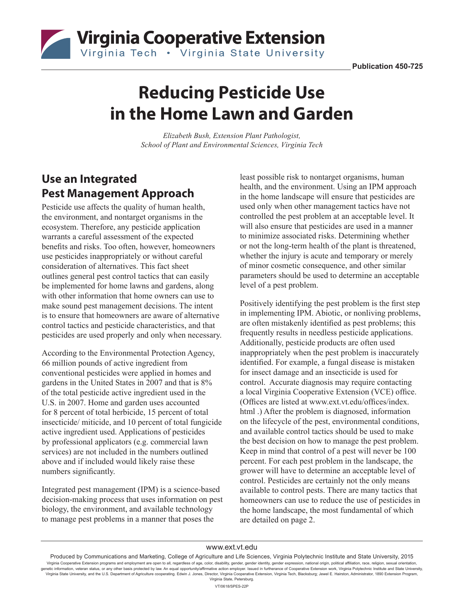

# **Reducing Pesticide Use in the Home Lawn and Garden**

*Elizabeth Bush, Extension Plant Pathologist, School of Plant and Environmental Sciences, Virginia Tech*

## **Use an Integrated Pest Management Approach**

Pesticide use affects the quality of human health, the environment, and nontarget organisms in the ecosystem. Therefore, any pesticide application warrants a careful assessment of the expected benefits and risks. Too often, however, homeowners use pesticides inappropriately or without careful consideration of alternatives. This fact sheet outlines general pest control tactics that can easily be implemented for home lawns and gardens, along with other information that home owners can use to make sound pest management decisions. The intent is to ensure that homeowners are aware of alternative control tactics and pesticide characteristics, and that pesticides are used properly and only when necessary.

According to the Environmental Protection Agency, 66 million pounds of active ingredient from conventional pesticides were applied in homes and gardens in the United States in 2007 and that is 8% of the total pesticide active ingredient used in the U.S. in 2007. Home and garden uses accounted for 8 percent of total herbicide, 15 percent of total insecticide/ miticide, and 10 percent of total fungicide active ingredient used. Applications of pesticides by professional applicators (e.g. commercial lawn services) are not included in the numbers outlined above and if included would likely raise these numbers significantly.

Integrated pest management (IPM) is a science-based decision-making process that uses information on pest biology, the environment, and available technology to manage pest problems in a manner that poses the

least possible risk to nontarget organisms, human health, and the environment. Using an IPM approach in the home landscape will ensure that pesticides are used only when other management tactics have not controlled the pest problem at an acceptable level. It will also ensure that pesticides are used in a manner to minimize associated risks. Determining whether or not the long-term health of the plant is threatened, whether the injury is acute and temporary or merely of minor cosmetic consequence, and other similar parameters should be used to determine an acceptable level of a pest problem.

Positively identifying the pest problem is the first step in implementing IPM. Abiotic, or nonliving problems, are often mistakenly identified as pest problems; this frequently results in needless pesticide applications. Additionally, pesticide products are often used inappropriately when the pest problem is inaccurately identified. For example, a fungal disease is mistaken for insect damage and an insecticide is used for control. Accurate diagnosis may require contacting a local Virginia Cooperative Extension (VCE) office. (Offices are listed at www.ext.vt.edu/offices/index. html .) After the problem is diagnosed, information on the lifecycle of the pest, environmental conditions, and available control tactics should be used to make the best decision on how to manage the pest problem. Keep in mind that control of a pest will never be 100 percent. For each pest problem in the landscape, the grower will have to determine an acceptable level of control. Pesticides are certainly not the only means available to control pests. There are many tactics that homeowners can use to reduce the use of pesticides in the home landscape, the most fundamental of which are detailed on page 2.

#### www.ext.vt.edu

Produced by Communications and Marketing, College of Agriculture and Life Sciences, Virginia Polytechnic Institute and State University, 2015 Virginia Cooperative Extension programs and employment are open to all, regardless of age, color, disability, gender, gender identity, gender expression, national origin, political affiliation, race, religion, sexual orien genetic information, veteran status, or any other basis protected by law. An equal opportunity/affirmative action employer. Issued in furtherance of Cooperative Extension work, Virginia Polytechnic Institute and State Univ Virginia State University, and the U.S. Department of Agriculture cooperating. Edwin J. Jones, Director, Virginia Cooperative Extension, Virginia Tech, Blacksburg; Jewel E. Hairston, Administrator, 1890 Extension Program, Virginia State, Petersburg. VT/0618/SPES-22P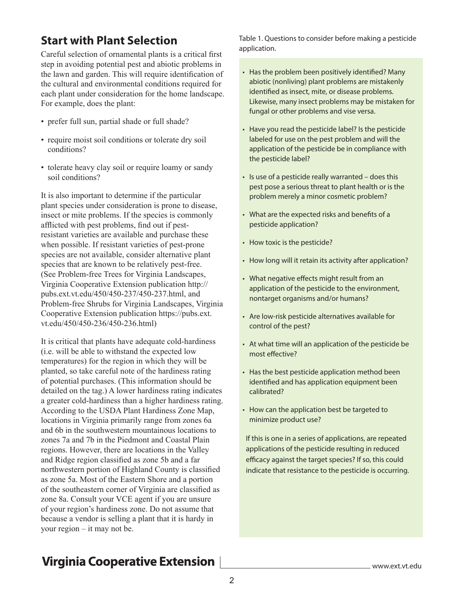### **Start with Plant Selection**

Careful selection of ornamental plants is a critical first step in avoiding potential pest and abiotic problems in the lawn and garden. This will require identification of the cultural and environmental conditions required for each plant under consideration for the home landscape. For example, does the plant:

- prefer full sun, partial shade or full shade?
- require moist soil conditions or tolerate dry soil conditions?
- tolerate heavy clay soil or require loamy or sandy soil conditions?

It is also important to determine if the particular plant species under consideration is prone to disease, insect or mite problems. If the species is commonly afflicted with pest problems, find out if pestresistant varieties are available and purchase these when possible. If resistant varieties of pest-prone species are not available, consider alternative plant species that are known to be relatively pest-free. (See Problem-free Trees for Virginia Landscapes, Virginia Cooperative Extension publication http:// pubs.ext.vt.edu/450/450-237/450-237.html, and Problem-free Shrubs for Virginia Landscapes, Virginia Cooperative Extension publication https://pubs.ext. vt.edu/450/450-236/450-236.html)

It is critical that plants have adequate cold-hardiness (i.e. will be able to withstand the expected low temperatures) for the region in which they will be planted, so take careful note of the hardiness rating of potential purchases. (This information should be detailed on the tag.) A lower hardiness rating indicates a greater cold-hardiness than a higher hardiness rating. According to the USDA Plant Hardiness Zone Map, locations in Virginia primarily range from zones 6a and 6b in the southwestern mountainous locations to zones 7a and 7b in the Piedmont and Coastal Plain regions. However, there are locations in the Valley and Ridge region classified as zone 5b and a far northwestern portion of Highland County is classified as zone 5a. Most of the Eastern Shore and a portion of the southeastern corner of Virginia are classified as zone 8a. Consult your VCE agent if you are unsure of your region's hardiness zone. Do not assume that because a vendor is selling a plant that it is hardy in your region – it may not be.

Table 1. Questions to consider before making a pesticide application.

- Has the problem been positively identified? Many abiotic (nonliving) plant problems are mistakenly identified as insect, mite, or disease problems. Likewise, many insect problems may be mistaken for fungal or other problems and vise versa.
- Have you read the pesticide label? Is the pesticide labeled for use on the pest problem and will the application of the pesticide be in compliance with the pesticide label?
- Is use of a pesticide really warranted does this pest pose a serious threat to plant health or is the problem merely a minor cosmetic problem?
- What are the expected risks and benefits of a pesticide application?
- How toxic is the pesticide?
- How long will it retain its activity after application?
- What negative effects might result from an application of the pesticide to the environment, nontarget organisms and/or humans?
- Are low-risk pesticide alternatives available for control of the pest?
- At what time will an application of the pesticide be most effective?
- Has the best pesticide application method been identified and has application equipment been calibrated?
- How can the application best be targeted to minimize product use?

If this is one in a series of applications, are repeated applications of the pesticide resulting in reduced efficacy against the target species? If so, this could indicate that resistance to the pesticide is occurring.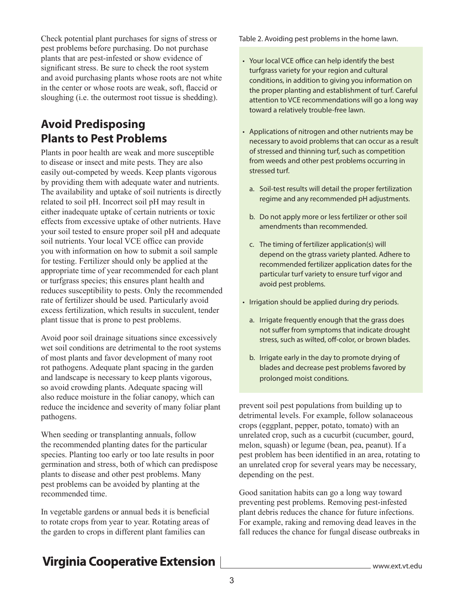Check potential plant purchases for signs of stress or pest problems before purchasing. Do not purchase plants that are pest-infested or show evidence of significant stress. Be sure to check the root system and avoid purchasing plants whose roots are not white in the center or whose roots are weak, soft, flaccid or sloughing (i.e. the outermost root tissue is shedding).

### **Avoid Predisposing Plants to Pest Problems**

Plants in poor health are weak and more susceptible to disease or insect and mite pests. They are also easily out-competed by weeds. Keep plants vigorous by providing them with adequate water and nutrients. The availability and uptake of soil nutrients is directly related to soil pH. Incorrect soil pH may result in either inadequate uptake of certain nutrients or toxic effects from excessive uptake of other nutrients. Have your soil tested to ensure proper soil pH and adequate soil nutrients. Your local VCE office can provide you with information on how to submit a soil sample for testing. Fertilizer should only be applied at the appropriate time of year recommended for each plant or turfgrass species; this ensures plant health and reduces susceptibility to pests. Only the recommended rate of fertilizer should be used. Particularly avoid excess fertilization, which results in succulent, tender plant tissue that is prone to pest problems.

Avoid poor soil drainage situations since excessively wet soil conditions are detrimental to the root systems of most plants and favor development of many root rot pathogens. Adequate plant spacing in the garden and landscape is necessary to keep plants vigorous, so avoid crowding plants. Adequate spacing will also reduce moisture in the foliar canopy, which can reduce the incidence and severity of many foliar plant pathogens.

When seeding or transplanting annuals, follow the recommended planting dates for the particular species. Planting too early or too late results in poor germination and stress, both of which can predispose plants to disease and other pest problems. Many pest problems can be avoided by planting at the recommended time.

In vegetable gardens or annual beds it is beneficial to rotate crops from year to year. Rotating areas of the garden to crops in different plant families can

Table 2. Avoiding pest problems in the home lawn.

- Your local VCE office can help identify the best turfgrass variety for your region and cultural conditions, in addition to giving you information on the proper planting and establishment of turf. Careful attention to VCE recommendations will go a long way toward a relatively trouble-free lawn.
- Applications of nitrogen and other nutrients may be necessary to avoid problems that can occur as a result of stressed and thinning turf, such as competition from weeds and other pest problems occurring in stressed turf.
	- a. Soil-test results will detail the proper fertilization regime and any recommended pH adjustments.
	- b. Do not apply more or less fertilizer or other soil amendments than recommended.
	- c. The timing of fertilizer application(s) will depend on the gtrass variety planted. Adhere to recommended fertilizer application dates for the particular turf variety to ensure turf vigor and avoid pest problems.
- Irrigation should be applied during dry periods.
	- a. Irrigate frequently enough that the grass does not suffer from symptoms that indicate drought stress, such as wilted, off-color, or brown blades.
	- b. Irrigate early in the day to promote drying of blades and decrease pest problems favored by prolonged moist conditions.

prevent soil pest populations from building up to detrimental levels. For example, follow solanaceous crops (eggplant, pepper, potato, tomato) with an unrelated crop, such as a cucurbit (cucumber, gourd, melon, squash) or legume (bean, pea, peanut). If a pest problem has been identified in an area, rotating to an unrelated crop for several years may be necessary, depending on the pest.

Good sanitation habits can go a long way toward preventing pest problems. Removing pest-infested plant debris reduces the chance for future infections. For example, raking and removing dead leaves in the fall reduces the chance for fungal disease outbreaks in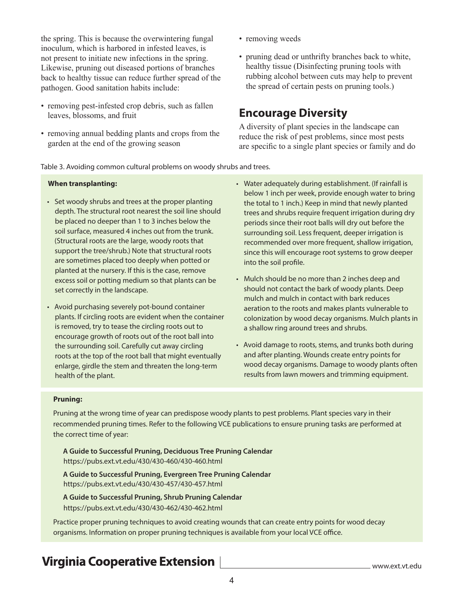the spring. This is because the overwintering fungal inoculum, which is harbored in infested leaves, is not present to initiate new infections in the spring. Likewise, pruning out diseased portions of branches back to healthy tissue can reduce further spread of the pathogen. Good sanitation habits include:

- removing pest-infested crop debris, such as fallen leaves, blossoms, and fruit
- removing annual bedding plants and crops from the garden at the end of the growing season
- removing weeds
- pruning dead or unthrifty branches back to white, healthy tissue (Disinfecting pruning tools with rubbing alcohol between cuts may help to prevent the spread of certain pests on pruning tools.)

#### **Encourage Diversity**

A diversity of plant species in the landscape can reduce the risk of pest problems, since most pests are specific to a single plant species or family and do

Table 3. Avoiding common cultural problems on woody shrubs and trees.

#### **When transplanting:**

- Set woody shrubs and trees at the proper planting depth. The structural root nearest the soil line should be placed no deeper than 1 to 3 inches below the soil surface, measured 4 inches out from the trunk. (Structural roots are the large, woody roots that support the tree/shrub.) Note that structural roots are sometimes placed too deeply when potted or planted at the nursery. If this is the case, remove excess soil or potting medium so that plants can be set correctly in the landscape.
- Avoid purchasing severely pot-bound container plants. If circling roots are evident when the container is removed, try to tease the circling roots out to encourage growth of roots out of the root ball into the surrounding soil. Carefully cut away circling roots at the top of the root ball that might eventually enlarge, girdle the stem and threaten the long-term health of the plant.
- Water adequately during establishment. (If rainfall is below 1 inch per week, provide enough water to bring the total to 1 inch.) Keep in mind that newly planted trees and shrubs require frequent irrigation during dry periods since their root balls will dry out before the surrounding soil. Less frequent, deeper irrigation is recommended over more frequent, shallow irrigation, since this will encourage root systems to grow deeper into the soil profile.
- Mulch should be no more than 2 inches deep and should not contact the bark of woody plants. Deep mulch and mulch in contact with bark reduces aeration to the roots and makes plants vulnerable to colonization by wood decay organisms. Mulch plants in a shallow ring around trees and shrubs.
- Avoid damage to roots, stems, and trunks both during and after planting. Wounds create entry points for wood decay organisms. Damage to woody plants often results from lawn mowers and trimming equipment.

#### **Pruning:**

Pruning at the wrong time of year can predispose woody plants to pest problems. Plant species vary in their recommended pruning times. Refer to the following VCE publications to ensure pruning tasks are performed at the correct time of year:

**A Guide to Successful Pruning, Deciduous Tree Pruning Calendar** https://pubs.ext.vt.edu/430/430-460/430-460.html

**A Guide to Successful Pruning, Evergreen Tree Pruning Calendar**  https://pubs.ext.vt.edu/430/430-457/430-457.html

**A Guide to Successful Pruning, Shrub Pruning Calendar**  https://pubs.ext.vt.edu/430/430-462/430-462.html

Practice proper pruning techniques to avoid creating wounds that can create entry points for wood decay organisms. Information on proper pruning techniques is available from your local VCE office.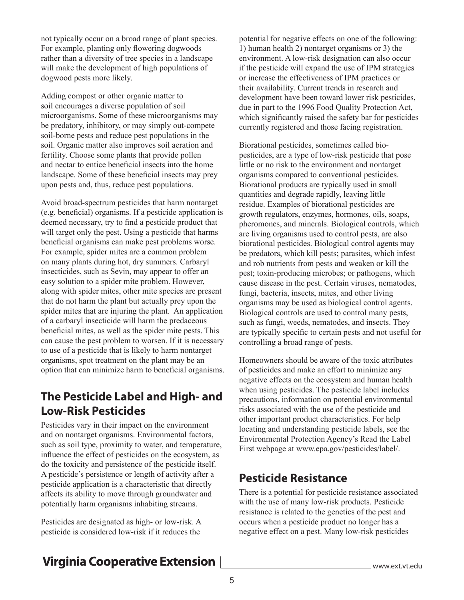not typically occur on a broad range of plant species. For example, planting only flowering dogwoods rather than a diversity of tree species in a landscape will make the development of high populations of dogwood pests more likely.

Adding compost or other organic matter to soil encourages a diverse population of soil microorganisms. Some of these microorganisms may be predatory, inhibitory, or may simply out-compete soil-borne pests and reduce pest populations in the soil. Organic matter also improves soil aeration and fertility. Choose some plants that provide pollen and nectar to entice beneficial insects into the home landscape. Some of these beneficial insects may prey upon pests and, thus, reduce pest populations.

Avoid broad-spectrum pesticides that harm nontarget (e.g. beneficial) organisms. If a pesticide application is deemed necessary, try to find a pesticide product that will target only the pest. Using a pesticide that harms beneficial organisms can make pest problems worse. For example, spider mites are a common problem on many plants during hot, dry summers. Carbaryl insecticides, such as Sevin, may appear to offer an easy solution to a spider mite problem. However, along with spider mites, other mite species are present that do not harm the plant but actually prey upon the spider mites that are injuring the plant. An application of a carbaryl insecticide will harm the predaceous beneficial mites, as well as the spider mite pests. This can cause the pest problem to worsen. If it is necessary to use of a pesticide that is likely to harm nontarget organisms, spot treatment on the plant may be an option that can minimize harm to beneficial organisms.

#### **The Pesticide Label and High- and Low-Risk Pesticides**

Pesticides vary in their impact on the environment and on nontarget organisms. Environmental factors, such as soil type, proximity to water, and temperature, influence the effect of pesticides on the ecosystem, as do the toxicity and persistence of the pesticide itself. A pesticide's persistence or length of activity after a pesticide application is a characteristic that directly affects its ability to move through groundwater and potentially harm organisms inhabiting streams.

Pesticides are designated as high- or low-risk. A pesticide is considered low-risk if it reduces the

potential for negative effects on one of the following: 1) human health 2) nontarget organisms or 3) the environment. A low-risk designation can also occur if the pesticide will expand the use of IPM strategies or increase the effectiveness of IPM practices or their availability. Current trends in research and development have been toward lower risk pesticides, due in part to the 1996 Food Quality Protection Act, which significantly raised the safety bar for pesticides currently registered and those facing registration.

Biorational pesticides, sometimes called biopesticides, are a type of low-risk pesticide that pose little or no risk to the environment and nontarget organisms compared to conventional pesticides. Biorational products are typically used in small quantities and degrade rapidly, leaving little residue. Examples of biorational pesticides are growth regulators, enzymes, hormones, oils, soaps, pheromones, and minerals. Biological controls, which are living organisms used to control pests, are also biorational pesticides. Biological control agents may be predators, which kill pests; parasites, which infest and rob nutrients from pests and weaken or kill the pest; toxin-producing microbes; or pathogens, which cause disease in the pest. Certain viruses, nematodes, fungi, bacteria, insects, mites, and other living organisms may be used as biological control agents. Biological controls are used to control many pests, such as fungi, weeds, nematodes, and insects. They are typically specific to certain pests and not useful for controlling a broad range of pests.

Homeowners should be aware of the toxic attributes of pesticides and make an effort to minimize any negative effects on the ecosystem and human health when using pesticides. The pesticide label includes precautions, information on potential environmental risks associated with the use of the pesticide and other important product characteristics. For help locating and understanding pesticide labels, see the Environmental Protection Agency's Read the Label First webpage at www.epa.gov/pesticides/label/.

#### **Pesticide Resistance**

There is a potential for pesticide resistance associated with the use of many low-risk products. Pesticide resistance is related to the genetics of the pest and occurs when a pesticide product no longer has a negative effect on a pest. Many low-risk pesticides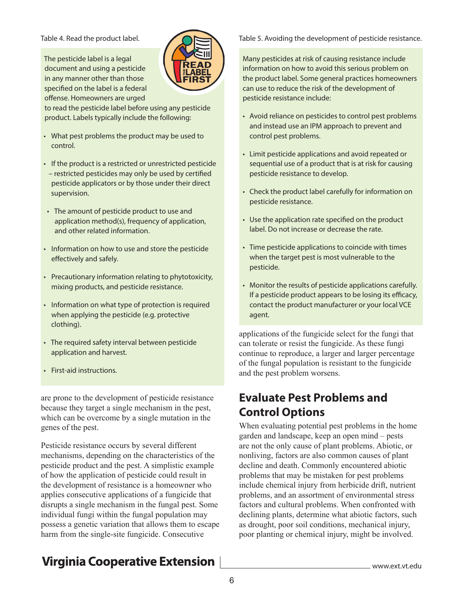The pesticide label is a legal document and using a pesticide in any manner other than those specified on the label is a federal offense. Homeowners are urged



to read the pesticide label before using any pesticide product. Labels typically include the following:

- What pest problems the product may be used to control.
- If the product is a restricted or unrestricted pesticide – restricted pesticides may only be used by certified pesticide applicators or by those under their direct supervision.
- The amount of pesticide product to use and application method(s), frequency of application, and other related information.
- Information on how to use and store the pesticide effectively and safely.
- Precautionary information relating to phytotoxicity, mixing products, and pesticide resistance.
- Information on what type of protection is required when applying the pesticide (e.g. protective clothing).
- The required safety interval between pesticide application and harvest.
- First-aid instructions.

are prone to the development of pesticide resistance because they target a single mechanism in the pest, which can be overcome by a single mutation in the genes of the pest.

Pesticide resistance occurs by several different mechanisms, depending on the characteristics of the pesticide product and the pest. A simplistic example of how the application of pesticide could result in the development of resistance is a homeowner who applies consecutive applications of a fungicide that disrupts a single mechanism in the fungal pest. Some individual fungi within the fungal population may possess a genetic variation that allows them to escape harm from the single-site fungicide. Consecutive

#### Table 4. Read the product label. **Table 5. Avoiding the development of pesticide resistance.**

Many pesticides at risk of causing resistance include information on how to avoid this serious problem on the product label. Some general practices homeowners can use to reduce the risk of the development of pesticide resistance include:

- Avoid reliance on pesticides to control pest problems and instead use an IPM approach to prevent and control pest problems.
- Limit pesticide applications and avoid repeated or sequential use of a product that is at risk for causing pesticide resistance to develop.
- Check the product label carefully for information on pesticide resistance.
- Use the application rate specified on the product label. Do not increase or decrease the rate.
- Time pesticide applications to coincide with times when the target pest is most vulnerable to the pesticide.
- Monitor the results of pesticide applications carefully. If a pesticide product appears to be losing its efficacy, contact the product manufacturer or your local VCE agent.

applications of the fungicide select for the fungi that can tolerate or resist the fungicide. As these fungi continue to reproduce, a larger and larger percentage of the fungal population is resistant to the fungicide and the pest problem worsens.

#### **Evaluate Pest Problems and Control Options**

When evaluating potential pest problems in the home garden and landscape, keep an open mind – pests are not the only cause of plant problems. Abiotic, or nonliving, factors are also common causes of plant decline and death. Commonly encountered abiotic problems that may be mistaken for pest problems include chemical injury from herbicide drift, nutrient problems, and an assortment of environmental stress factors and cultural problems. When confronted with declining plants, determine what abiotic factors, such as drought, poor soil conditions, mechanical injury, poor planting or chemical injury, might be involved.